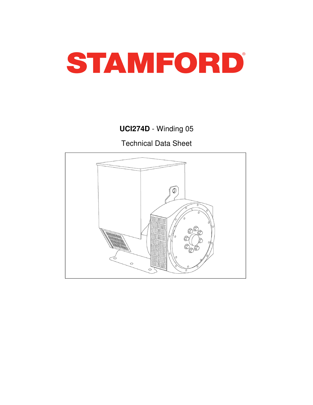

# **UCI274D** - Winding 05

Technical Data Sheet

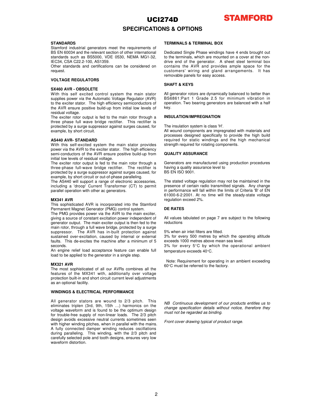

### **SPECIFICATIONS & OPTIONS**

#### **STANDARDS**

Stamford industrial generators meet the requirements of BS EN 60034 and the relevant section of other international standards such as BS5000, VDE 0530, NEMA MG1-32, IEC34, CSA C22.2-100, AS1359.

Other standards and certifications can be considered on request.

### **VOLTAGE REGULATORS**

#### **SX460 AVR - OBSOLETE**

With this self excited control system the main stator supplies power via the Automatic Voltage Regulator (AVR) to the exciter stator. The high efficiency semiconductors of the AVR ensure positive build-up from initial low levels of residual voltage.

The exciter rotor output is fed to the main rotor through a three phase full wave bridge rectifier. This rectifier is protected by a surge suppressor against surges caused, for example, by short circuit.

#### **AS440 AVR- STANDARD**

With this self-excited system the main stator provides power via the AVR to the exciter stator. The high efficiency semi-conductors of the AVR ensure positive build-up from initial low levels of residual voltage.

The exciter rotor output is fed to the main rotor through a three-phase full-wave bridge rectifier. The rectifier is protected by a surge suppressor against surges caused, for example, by short circuit or out-of-phase paralleling.

The AS440 will support a range of electronic accessories, including a 'droop' Current Transformer (CT) to permit parallel operation with other ac generators.

#### **MX341 AVR**

This sophisticated AVR is incorporated into the Stamford Permanent Magnet Generator (PMG) control system.

The PMG provides power via the AVR to the main exciter, giving a source of constant excitation power independent of generator output. The main exciter output is then fed to the main rotor, through a full wave bridge, protected by a surge suppressor. The AVR has in-built protection against sustained over-excitation, caused by internal or external faults. This de-excites the machine after a minimum of 5 seconds.

An engine relief load acceptance feature can enable full load to be applied to the generator in a single step.

#### **MX321 AVR**

The most sophisticated of all our AVRs combines all the features of the MX341 with, additionally over voltage protection built-in and short circuit current level adjustments as an optional facility.

#### **WINDINGS & ELECTRICAL PERFORMANCE**

All generator stators are wound to 2/3 pitch. This eliminates triplen (3rd, 9th, 15th …) harmonics on the voltage waveform and is found to be the optimum design for trouble-free supply of non-linear loads. The 2/3 pitch design avoids excessive neutral currents sometimes seen with higher winding pitches, when in parallel with the mains. A fully connected damper winding reduces oscillations during paralleling. This winding, with the 2/3 pitch and carefully selected pole and tooth designs, ensures very low waveform distortion.

#### **TERMINALS & TERMINAL BOX**

Dedicated Single Phase windings have 4 ends brought out to the terminals, which are mounted on a cover at the nondrive end of the generator. A sheet steel terminal box contains the AVR and provides ample space for the customers' wiring and gland arrangements. It has removable panels for easy access.

### **SHAFT & KEYS**

All generator rotors are dynamically balanced to better than BS6861:Part 1 Grade 2.5 for minimum vibration in operation. Two bearing generators are balanced with a half key.

### **INSULATION/IMPREGNATION**

The insulation system is class 'H'.

All wound components are impregnated with materials and processes designed specifically to provide the high build required for static windings and the high mechanical strength required for rotating components.

#### **QUALITY ASSURANCE**

Generators are manufactured using production procedures having a quality assurance level to BS EN ISO 9001.

The stated voltage regulation may not be maintained in the presence of certain radio transmitted signals. Any change in performance will fall within the limits of Criteria 'B' of EN 61000-6-2:2001. At no time will the steady-state voltage regulation exceed 2%.

### **DE RATES**

All values tabulated on page 7 are subject to the following reductions

5% when air inlet filters are fitted.

3% for every 500 metres by which the operating altitude exceeds 1000 metres above mean sea level.

3% for every 5°C by which the operational ambient temperature exceeds 40°C.

Note: Requirement for operating in an ambient exceeding 60°C must be referred to the factory.

NB Continuous development of our products entitles us to change specification details without notice, therefore they must not be regarded as binding.

Front cover drawing typical of product range.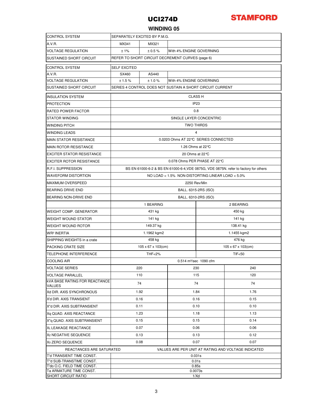

### **WINDING 05**

| <b>CONTROL SYSTEM</b>                                   | SEPARATELY EXCITED BY P.M.G.                                                         |                    |                          |                                 |      |  |  |  |  |
|---------------------------------------------------------|--------------------------------------------------------------------------------------|--------------------|--------------------------|---------------------------------|------|--|--|--|--|
| A.V.R.                                                  | MX341<br>MX321                                                                       |                    |                          |                                 |      |  |  |  |  |
| <b>VOLTAGE REGULATION</b>                               | ±1%<br>± 0.5%<br>With 4% ENGINE GOVERNING                                            |                    |                          |                                 |      |  |  |  |  |
| <b>SUSTAINED SHORT CIRCUIT</b>                          | REFER TO SHORT CIRCUIT DECREMENT CURVES (page 6)                                     |                    |                          |                                 |      |  |  |  |  |
| <b>CONTROL SYSTEM</b>                                   | <b>SELF EXCITED</b>                                                                  |                    |                          |                                 |      |  |  |  |  |
| A.V.R.                                                  | SX460                                                                                | AS440              |                          |                                 |      |  |  |  |  |
| <b>VOLTAGE REGULATION</b>                               | ± 1.5%                                                                               | ± 1.0 %            | With 4% ENGINE GOVERNING |                                 |      |  |  |  |  |
| SUSTAINED SHORT CIRCUIT                                 | SERIES 4 CONTROL DOES NOT SUSTAIN A SHORT CIRCUIT CURRENT                            |                    |                          |                                 |      |  |  |  |  |
| <b>INSULATION SYSTEM</b>                                | <b>CLASS H</b>                                                                       |                    |                          |                                 |      |  |  |  |  |
| <b>PROTECTION</b>                                       | IP <sub>23</sub>                                                                     |                    |                          |                                 |      |  |  |  |  |
| <b>RATED POWER FACTOR</b>                               | 0.8                                                                                  |                    |                          |                                 |      |  |  |  |  |
| <b>STATOR WINDING</b>                                   | SINGLE LAYER CONCENTRIC                                                              |                    |                          |                                 |      |  |  |  |  |
| <b>WINDING PITCH</b>                                    | <b>TWO THIRDS</b>                                                                    |                    |                          |                                 |      |  |  |  |  |
| <b>WINDING LEADS</b>                                    | 4                                                                                    |                    |                          |                                 |      |  |  |  |  |
| <b>MAIN STATOR RESISTANCE</b>                           | 0.0203 Ohms AT 22 °C SERIES CONNECTED                                                |                    |                          |                                 |      |  |  |  |  |
| <b>MAIN ROTOR RESISTANCE</b>                            | 1.26 Ohms at 22 °C                                                                   |                    |                          |                                 |      |  |  |  |  |
| <b>EXCITER STATOR RESISTANCE</b>                        | 20 Ohms at 22 ℃                                                                      |                    |                          |                                 |      |  |  |  |  |
| <b>EXCITER ROTOR RESISTANCE</b>                         | 0.078 Ohms PER PHASE AT 22 ℃                                                         |                    |                          |                                 |      |  |  |  |  |
| <b>R.F.I. SUPPRESSION</b>                               | BS EN 61000-6-2 & BS EN 61000-6-4, VDE 0875G, VDE 0875N. refer to factory for others |                    |                          |                                 |      |  |  |  |  |
| <b>WAVEFORM DISTORTION</b>                              | NO LOAD < 1.5% NON-DISTORTING LINEAR LOAD < 5.0%                                     |                    |                          |                                 |      |  |  |  |  |
| MAXIMUM OVERSPEED                                       | 2250 Rev/Min                                                                         |                    |                          |                                 |      |  |  |  |  |
| BEARING DRIVE END                                       | BALL. 6315-2RS (ISO)                                                                 |                    |                          |                                 |      |  |  |  |  |
| <b>BEARING NON-DRIVE END</b>                            | BALL. 6310-2RS (ISO)                                                                 |                    |                          |                                 |      |  |  |  |  |
|                                                         | 1 BEARING<br>2 BEARING                                                               |                    |                          |                                 |      |  |  |  |  |
| <b>WEIGHT COMP. GENERATOR</b>                           |                                                                                      | 431 kg             |                          | 450 kg                          |      |  |  |  |  |
| <b>WEIGHT WOUND STATOR</b>                              |                                                                                      | 141 kg             |                          | 141 kg                          |      |  |  |  |  |
| <b>WEIGHT WOUND ROTOR</b>                               |                                                                                      | 149.37 kg          |                          | 138.41 kg                       |      |  |  |  |  |
| <b>WR<sup>2</sup> INERTIA</b>                           |                                                                                      | 1.1962 kgm2        |                          | 1.1455 kgm2                     |      |  |  |  |  |
| SHIPPING WEIGHTS in a crate                             |                                                                                      | 458 kg             |                          | 476 kg                          |      |  |  |  |  |
| PACKING CRATE SIZE                                      |                                                                                      | 105 x 67 x 103(cm) |                          | $105 \times 67 \times 103$ (cm) |      |  |  |  |  |
| <b>TELEPHONE INTERFERENCE</b>                           |                                                                                      | THF<2%             |                          | <b>TIF&lt;50</b>                |      |  |  |  |  |
| <b>COOLING AIR</b>                                      | 0.514 m <sup>3</sup> /sec 1090 cfm                                                   |                    |                          |                                 |      |  |  |  |  |
| <b>VOLTAGE SERIES</b>                                   | 220                                                                                  |                    | 230                      | 240                             |      |  |  |  |  |
| <b>VOLTAGE PARALLEL</b>                                 | 110                                                                                  |                    | 115                      |                                 | 120  |  |  |  |  |
| <b>KVA BASE RATING FOR REACTANCE</b>                    |                                                                                      |                    | 74                       |                                 |      |  |  |  |  |
| <b>VALUES</b>                                           |                                                                                      | 74                 |                          |                                 | 74   |  |  |  |  |
| Xd DIR. AXIS SYNCHRONOUS                                | 1.92                                                                                 |                    | 1.84                     |                                 | 1.76 |  |  |  |  |
| X'd DIR. AXIS TRANSIENT                                 | 0.16                                                                                 | 0.16               |                          |                                 | 0.15 |  |  |  |  |
| X"d DIR. AXIS SUBTRANSIENT                              | 0.11                                                                                 | 0.10               |                          |                                 | 0.10 |  |  |  |  |
| Xq QUAD. AXIS REACTANCE                                 | 1.23                                                                                 | 1.18               |                          |                                 | 1.13 |  |  |  |  |
| X"q QUAD. AXIS SUBTRANSIENT                             | 0.15                                                                                 | 0.15               |                          |                                 | 0.14 |  |  |  |  |
| <b>XL LEAKAGE REACTANCE</b>                             | 0.07                                                                                 |                    | 0.06                     |                                 | 0.06 |  |  |  |  |
| X <sub>2</sub> NEGATIVE SEQUENCE                        | 0.13                                                                                 |                    |                          | 0.12<br>0.13                    |      |  |  |  |  |
| X <sub>0</sub> ZERO SEQUENCE                            | 0.08<br>0.07<br>0.07                                                                 |                    |                          |                                 |      |  |  |  |  |
|                                                         | VALUES ARE PER UNIT AT RATING AND VOLTAGE INDICATED<br>REACTANCES ARE SATURATED      |                    |                          |                                 |      |  |  |  |  |
| T'd TRANSIENT TIME CONST.                               | 0.031s                                                                               |                    |                          |                                 |      |  |  |  |  |
| T"d SUB-TRANSTIME CONST.<br>T'do O.C. FIELD TIME CONST. | 0.01s<br>0.85s                                                                       |                    |                          |                                 |      |  |  |  |  |
| Ta ARMATURE TIME CONST.                                 | 0.0073s                                                                              |                    |                          |                                 |      |  |  |  |  |
| <b>SHORT CIRCUIT RATIO</b>                              | 1/Xd                                                                                 |                    |                          |                                 |      |  |  |  |  |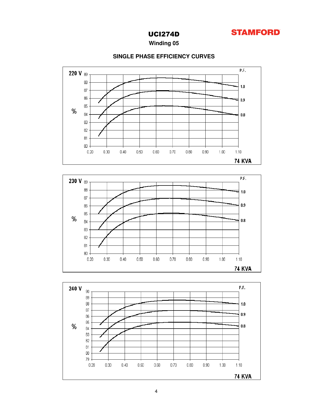

### **Winding 05**



### **SINGLE PHASE EFFICIENCY CURVES**

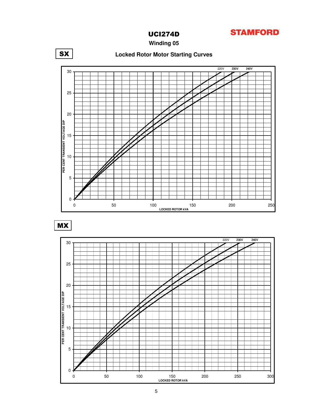

**Winding 05**



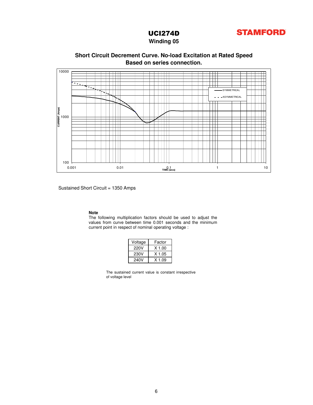

**Winding 05**

### **Based on series connection. Short Circuit Decrement Curve. No-load Excitation at Rated Speed**



Sustained Short Circuit = 1350 Amps

#### **Note**

The following multiplication factors should be used to adjust the values from curve between time 0.001 seconds and the minimum current point in respect of nominal operating voltage :

| Voltage | Factor   |  |  |  |  |  |
|---------|----------|--|--|--|--|--|
| 220V    | $X$ 1.00 |  |  |  |  |  |
| 230V    | X 1.05   |  |  |  |  |  |
| 240V    | $X$ 1.09 |  |  |  |  |  |

The sustained current value is constant irrespective of voltage level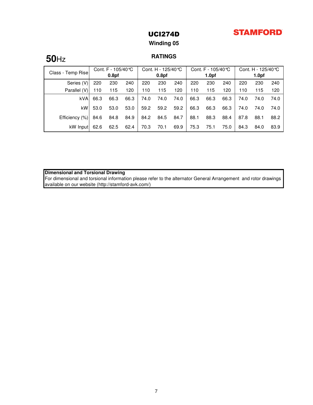# **STAMFORD**

### UCI274D

### **Winding 05**

# **RATINGS 50**Hz

| Class - Temp Rise | Cont. F - 105/40 ℃ |                   | Cont. H - 125/40 °C |      | Cont. F - $105/40$ °C |      |      | Cont. H - 125/40 ℃ |      |      |                   |      |
|-------------------|--------------------|-------------------|---------------------|------|-----------------------|------|------|--------------------|------|------|-------------------|------|
|                   |                    | 0.8 <sub>pf</sub> |                     |      | 0.8 <sub>pf</sub>     |      |      | 1.0 <sub>pf</sub>  |      |      | 1.0 <sub>pf</sub> |      |
| Series (V)        | 220                | 230               | 240                 | 220  | 230                   | 240  | 220  | 230                | 240  | 220  | 230               | 240  |
| Parallel (V)      | 110                | 115               | 120                 | 110  | 115                   | 120  | 110  | 115                | 120  | 110  | 115               | 120  |
| <b>kVA</b>        | 66.3               | 66.3              | 66.3                | 74.0 | 74.0                  | 74.0 | 66.3 | 66.3               | 66.3 | 74.0 | 74.0              | 74.0 |
| kW                | 53.0               | 53.0              | 53.0                | 59.2 | 59.2                  | 59.2 | 66.3 | 66.3               | 66.3 | 74.0 | 74.0              | 74.0 |
| Efficiency (%)    | 84.6               | 84.8              | 84.9                | 84.2 | 84.5                  | 84.7 | 88.1 | 88.3               | 88.4 | 87.8 | 88.1              | 88.2 |
| kW Input          | 62.6               | 62.5              | 62.4                | 70.3 | 70.1                  | 69.9 | 75.3 | 75.1               | 75.0 | 84.3 | 84.0              | 83.9 |

**Dimensional and Torsional Drawing**

For dimensional and torsional information please refer to the alternator General Arrangement and rotor drawings available on our website (http://stamford-avk.com/)